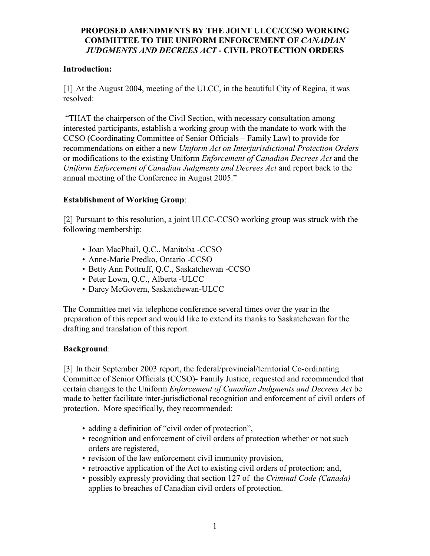## **Introduction:**

[1] At the August 2004, meeting of the ULCC, in the beautiful City of Regina, it was resolved:

 "THAT the chairperson of the Civil Section, with necessary consultation among interested participants, establish a working group with the mandate to work with the CCSO (Coordinating Committee of Senior Officials – Family Law) to provide for recommendations on either a new *Uniform Act on Interjurisdictional Protection Orders* or modifications to the existing Uniform *Enforcement of Canadian Decrees Act* and the *Uniform Enforcement of Canadian Judgments and Decrees Act* and report back to the annual meeting of the Conference in August 2005."

## **Establishment of Working Group**:

[2] Pursuant to this resolution, a joint ULCC-CCSO working group was struck with the following membership:

- Joan MacPhail, Q.C., Manitoba -CCSO
- Anne-Marie Predko, Ontario -CCSO
- Betty Ann Pottruff, Q.C., Saskatchewan -CCSO
- Peter Lown, Q.C., Alberta -ULCC
- Darcy McGovern, Saskatchewan-ULCC

The Committee met via telephone conference several times over the year in the preparation of this report and would like to extend its thanks to Saskatchewan for the drafting and translation of this report.

### **Background**:

[3] In their September 2003 report, the federal/provincial/territorial Co-ordinating Committee of Senior Officials (CCSO)- Family Justice, requested and recommended that certain changes to the Uniform *Enforcement of Canadian Judgments and Decrees Act* be made to better facilitate inter-jurisdictional recognition and enforcement of civil orders of protection. More specifically, they recommended:

- adding a definition of "civil order of protection",
- recognition and enforcement of civil orders of protection whether or not such orders are registered,
- revision of the law enforcement civil immunity provision,
- retroactive application of the Act to existing civil orders of protection; and,
- possibly expressly providing that section 127 of the *Criminal Code (Canada)* applies to breaches of Canadian civil orders of protection.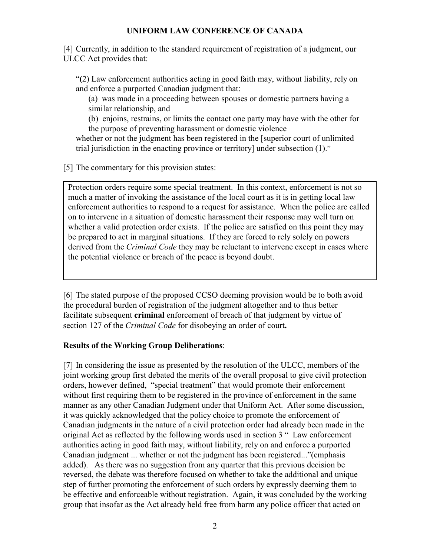[4] Currently, in addition to the standard requirement of registration of a judgment, our ULCC Act provides that:

"**(**2) Law enforcement authorities acting in good faith may, without liability, rely on and enforce a purported Canadian judgment that:

(a) was made in a proceeding between spouses or domestic partners having a similar relationship, and

(b) enjoins, restrains, or limits the contact one party may have with the other for the purpose of preventing harassment or domestic violence

whether or not the judgment has been registered in the [superior court of unlimited trial jurisdiction in the enacting province or territoryl under subsection (1)."

[5] The commentary for this provision states:

Protection orders require some special treatment. In this context, enforcement is not so much a matter of invoking the assistance of the local court as it is in getting local law enforcement authorities to respond to a request for assistance. When the police are called on to intervene in a situation of domestic harassment their response may well turn on whether a valid protection order exists. If the police are satisfied on this point they may be prepared to act in marginal situations. If they are forced to rely solely on powers derived from the *Criminal Code* they may be reluctant to intervene except in cases where the potential violence or breach of the peace is beyond doubt.

[6] The stated purpose of the proposed CCSO deeming provision would be to both avoid the procedural burden of registration of the judgment altogether and to thus better facilitate subsequent **criminal** enforcement of breach of that judgment by virtue of section 127 of the *Criminal Code* for disobeying an order of court**.**

# **Results of the Working Group Deliberations**:

[7] In considering the issue as presented by the resolution of the ULCC, members of the joint working group first debated the merits of the overall proposal to give civil protection orders, however defined, "special treatment" that would promote their enforcement without first requiring them to be registered in the province of enforcement in the same manner as any other Canadian Judgment under that Uniform Act. After some discussion, it was quickly acknowledged that the policy choice to promote the enforcement of Canadian judgments in the nature of a civil protection order had already been made in the original Act as reflected by the following words used in section 3 " Law enforcement authorities acting in good faith may, without liability, rely on and enforce a purported Canadian judgment ... whether or not the judgment has been registered..."(emphasis added). As there was no suggestion from any quarter that this previous decision be reversed, the debate was therefore focused on whether to take the additional and unique step of further promoting the enforcement of such orders by expressly deeming them to be effective and enforceable without registration. Again, it was concluded by the working group that insofar as the Act already held free from harm any police officer that acted on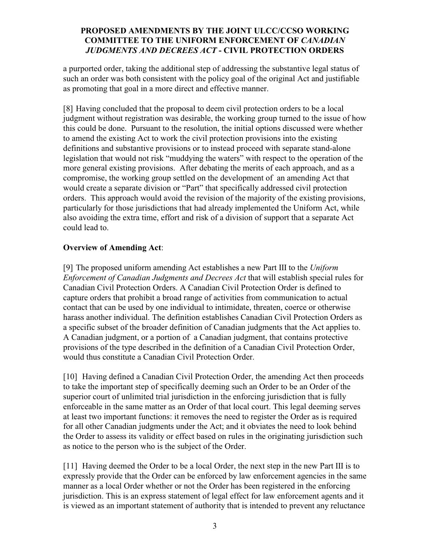a purported order, taking the additional step of addressing the substantive legal status of such an order was both consistent with the policy goal of the original Act and justifiable as promoting that goal in a more direct and effective manner.

[8] Having concluded that the proposal to deem civil protection orders to be a local judgment without registration was desirable, the working group turned to the issue of how this could be done. Pursuant to the resolution, the initial options discussed were whether to amend the existing Act to work the civil protection provisions into the existing definitions and substantive provisions or to instead proceed with separate stand-alone legislation that would not risk "muddying the waters" with respect to the operation of the more general existing provisions. After debating the merits of each approach, and as a compromise, the working group settled on the development of an amending Act that would create a separate division or "Part" that specifically addressed civil protection orders. This approach would avoid the revision of the majority of the existing provisions, particularly for those jurisdictions that had already implemented the Uniform Act, while also avoiding the extra time, effort and risk of a division of support that a separate Act could lead to.

# **Overview of Amending Act**:

[9] The proposed uniform amending Act establishes a new Part III to the *Uniform Enforcement of Canadian Judgments and Decrees Act* that will establish special rules for Canadian Civil Protection Orders. A Canadian Civil Protection Order is defined to capture orders that prohibit a broad range of activities from communication to actual contact that can be used by one individual to intimidate, threaten, coerce or otherwise harass another individual. The definition establishes Canadian Civil Protection Orders as a specific subset of the broader definition of Canadian judgments that the Act applies to. A Canadian judgment, or a portion of a Canadian judgment, that contains protective provisions of the type described in the definition of a Canadian Civil Protection Order, would thus constitute a Canadian Civil Protection Order.

[10] Having defined a Canadian Civil Protection Order, the amending Act then proceeds to take the important step of specifically deeming such an Order to be an Order of the superior court of unlimited trial jurisdiction in the enforcing jurisdiction that is fully enforceable in the same matter as an Order of that local court. This legal deeming serves at least two important functions: it removes the need to register the Order as is required for all other Canadian judgments under the Act; and it obviates the need to look behind the Order to assess its validity or effect based on rules in the originating jurisdiction such as notice to the person who is the subject of the Order.

[11] Having deemed the Order to be a local Order, the next step in the new Part III is to expressly provide that the Order can be enforced by law enforcement agencies in the same manner as a local Order whether or not the Order has been registered in the enforcing jurisdiction. This is an express statement of legal effect for law enforcement agents and it is viewed as an important statement of authority that is intended to prevent any reluctance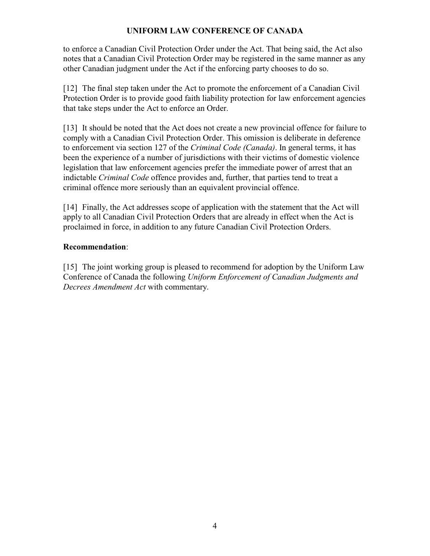to enforce a Canadian Civil Protection Order under the Act. That being said, the Act also notes that a Canadian Civil Protection Order may be registered in the same manner as any other Canadian judgment under the Act if the enforcing party chooses to do so.

[12] The final step taken under the Act to promote the enforcement of a Canadian Civil Protection Order is to provide good faith liability protection for law enforcement agencies that take steps under the Act to enforce an Order.

[13] It should be noted that the Act does not create a new provincial offence for failure to comply with a Canadian Civil Protection Order. This omission is deliberate in deference to enforcement via section 127 of the *Criminal Code (Canada)*. In general terms, it has been the experience of a number of jurisdictions with their victims of domestic violence legislation that law enforcement agencies prefer the immediate power of arrest that an indictable *Criminal Code* offence provides and, further, that parties tend to treat a criminal offence more seriously than an equivalent provincial offence.

[14] Finally, the Act addresses scope of application with the statement that the Act will apply to all Canadian Civil Protection Orders that are already in effect when the Act is proclaimed in force, in addition to any future Canadian Civil Protection Orders.

# **Recommendation**:

[15] The joint working group is pleased to recommend for adoption by the Uniform Law Conference of Canada the following *Uniform Enforcement of Canadian Judgments and Decrees Amendment Act* with commentary.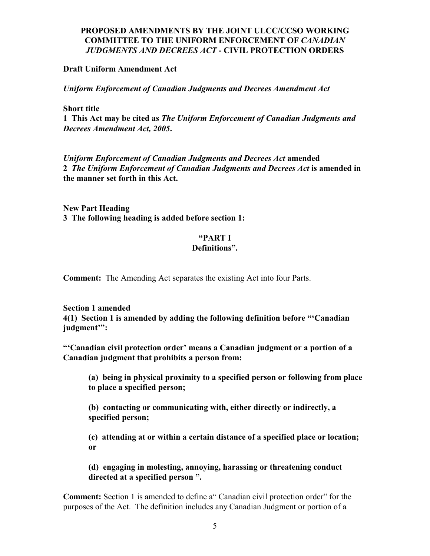### **Draft Uniform Amendment Act**

*Uniform Enforcement of Canadian Judgments and Decrees Amendment Act*

**Short title 1 This Act may be cited as** *The Uniform Enforcement of Canadian Judgments and Decrees Amendment Act, 2005***.**

*Uniform Enforcement of Canadian Judgments and Decrees Act* **amended 2** *The Uniform Enforcement of Canadian Judgments and Decrees Act* **is amended in the manner set forth in this Act.**

**New Part Heading 3 The following heading is added before section 1:**

#### **"PART I Definitions".**

**Comment:** The Amending Act separates the existing Act into four Parts.

**Section 1 amended 4(1) Section 1 is amended by adding the following definition before "'Canadian judgment'":**

**"'Canadian civil protection order' means a Canadian judgment or a portion of a Canadian judgment that prohibits a person from:**

**(a) being in physical proximity to a specified person or following from place to place a specified person;**

**(b) contacting or communicating with, either directly or indirectly, a specified person;**

**(c) attending at or within a certain distance of a specified place or location; or**

**(d) engaging in molesting, annoying, harassing or threatening conduct directed at a specified person ".**

**Comment:** Section 1 is amended to define a" Canadian civil protection order" for the purposes of the Act. The definition includes any Canadian Judgment or portion of a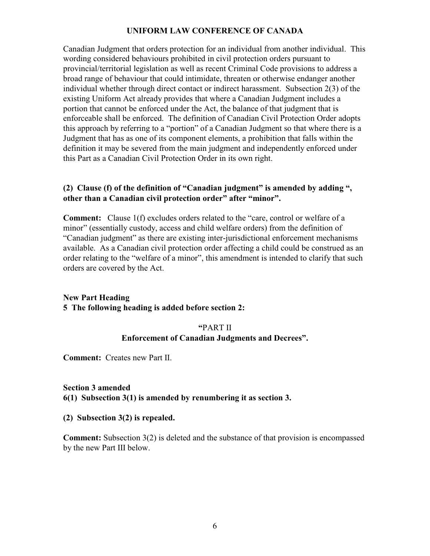Canadian Judgment that orders protection for an individual from another individual. This wording considered behaviours prohibited in civil protection orders pursuant to provincial/territorial legislation as well as recent Criminal Code provisions to address a broad range of behaviour that could intimidate, threaten or otherwise endanger another individual whether through direct contact or indirect harassment. Subsection 2(3) of the existing Uniform Act already provides that where a Canadian Judgment includes a portion that cannot be enforced under the Act, the balance of that judgment that is enforceable shall be enforced. The definition of Canadian Civil Protection Order adopts this approach by referring to a "portion" of a Canadian Judgment so that where there is a Judgment that has as one of its component elements, a prohibition that falls within the definition it may be severed from the main judgment and independently enforced under this Part as a Canadian Civil Protection Order in its own right.

### **(2) Clause (f) of the definition of "Canadian judgment" is amended by adding ", other than a Canadian civil protection order" after "minor".**

**Comment:** Clause 1(f) excludes orders related to the "care, control or welfare of a minor" (essentially custody, access and child welfare orders) from the definition of "Canadian judgment" as there are existing inter-jurisdictional enforcement mechanisms available. As a Canadian civil protection order affecting a child could be construed as an order relating to the "welfare of a minor", this amendment is intended to clarify that such orders are covered by the Act.

## **New Part Heading 5 The following heading is added before section 2:**

### **"**PART II **Enforcement of Canadian Judgments and Decrees".**

**Comment:** Creates new Part II.

## **Section 3 amended 6(1) Subsection 3(1) is amended by renumbering it as section 3.**

#### **(2) Subsection 3(2) is repealed.**

**Comment:** Subsection 3(2) is deleted and the substance of that provision is encompassed by the new Part III below.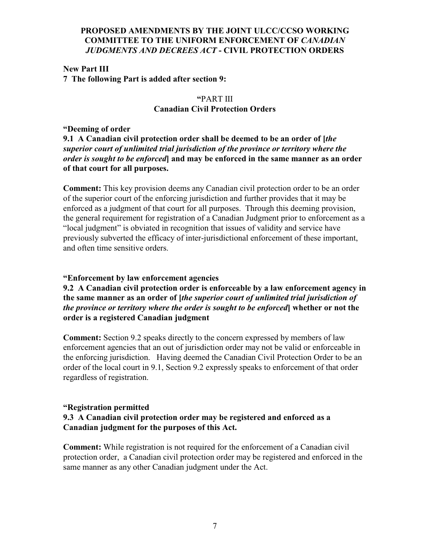# **New Part III 7 The following Part is added after section 9:**

# **"**PART III **Canadian Civil Protection Orders**

## **"Deeming of order**

**9.1 A Canadian civil protection order shall be deemed to be an order of [***the superior court of unlimited trial jurisdiction of the province or territory where the order is sought to be enforced***] and may be enforced in the same manner as an order of that court for all purposes.**

**Comment:** This key provision deems any Canadian civil protection order to be an order of the superior court of the enforcing jurisdiction and further provides that it may be enforced as a judgment of that court for all purposes. Through this deeming provision, the general requirement for registration of a Canadian Judgment prior to enforcement as a "local judgment" is obviated in recognition that issues of validity and service have previously subverted the efficacy of inter-jurisdictional enforcement of these important, and often time sensitive orders.

# **"Enforcement by law enforcement agencies**

**9.2 A Canadian civil protection order is enforceable by a law enforcement agency in the same manner as an order of [***the superior court of unlimited trial jurisdiction of the province or territory where the order is sought to be enforced***] whether or not the order is a registered Canadian judgment**

**Comment:** Section 9.2 speaks directly to the concern expressed by members of law enforcement agencies that an out of jurisdiction order may not be valid or enforceable in the enforcing jurisdiction. Having deemed the Canadian Civil Protection Order to be an order of the local court in 9.1, Section 9.2 expressly speaks to enforcement of that order regardless of registration.

### **"Registration permitted 9.3 A Canadian civil protection order may be registered and enforced as a Canadian judgment for the purposes of this Act.**

**Comment:** While registration is not required for the enforcement of a Canadian civil protection order, a Canadian civil protection order may be registered and enforced in the same manner as any other Canadian judgment under the Act.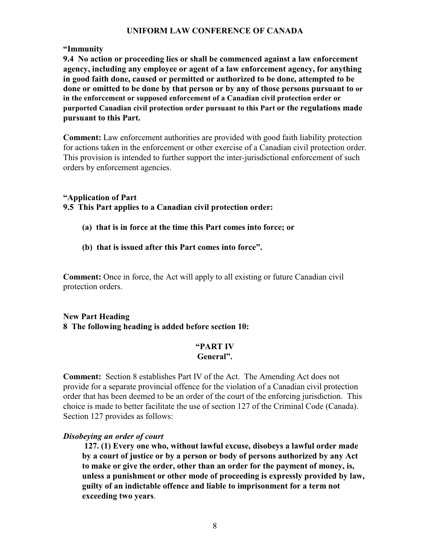#### **"Immunity**

**9.4 No action or proceeding lies or shall be commenced against a law enforcement agency, including any employee or agent of a law enforcement agency, for anything in good faith done, caused or permitted or authorized to be done, attempted to be done or omitted to be done by that person or by any of those persons pursuant to or in the enforcement or supposed enforcement of a Canadian civil protection order or purported Canadian civil protection order pursuant to this Part or the regulations made pursuant to this Part.**

**Comment:** Law enforcement authorities are provided with good faith liability protection for actions taken in the enforcement or other exercise of a Canadian civil protection order. This provision is intended to further support the inter-jurisdictional enforcement of such orders by enforcement agencies.

### **"Application of Part**

**9.5 This Part applies to a Canadian civil protection order:**

- **(a) that is in force at the time this Part comes into force; or**
- **(b) that is issued after this Part comes into force".**

**Comment:** Once in force, the Act will apply to all existing or future Canadian civil protection orders.

## **New Part Heading 8 The following heading is added before section 10:**

#### **"PART IV General".**

# **Comment:** Section 8 establishes Part IV of the Act. The Amending Act does not provide for a separate provincial offence for the violation of a Canadian civil protection order that has been deemed to be an order of the court of the enforcing jurisdiction. This choice is made to better facilitate the use of section 127 of the Criminal Code (Canada). Section 127 provides as follows:

### *Disobeying an order of court*

 **127. (1) Every one who, without lawful excuse, disobeys a lawful order made by a court of justice or by a person or body of persons authorized by any Act to make or give the order, other than an order for the payment of money, is, unless a punishment or other mode of proceeding is expressly provided by law, guilty of an indictable offence and liable to imprisonment for a term not exceeding two years**.